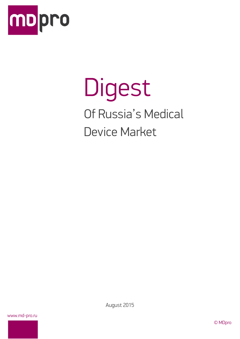

# Digest Of Russia's Medical Device Market

www.md-pro.ru

August 2015

© MDpro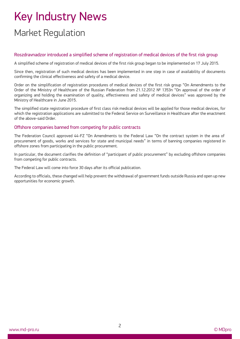# Key Industry News Market Regulation

#### Roszdravnadzor introduced a simplified scheme of registration of medical devices of the first risk group

A simplified scheme of registration of medical devices of the first risk group began to be implemented on 17 July 2015.

Since then, registration of such medical devices has been implemented in one step in case of availability of documents confirming the clinical effectiveness and safety of a medical device.

Order on the simplification of registration procedures of medical devices of the first risk group "On Amendments to the Order of the Ministry of Healthcare of the Russian Federation from 21.12.2012 № 1353n "On approval of the order of organizing and holding the examination of quality, effectiveness and safety of medical devices" was approved by the Ministry of Healthcare in June 2015.

The simplified state registration procedure of first class risk medical devices will be applied for those medical devices, for which the registration applications are submitted to the Federal Service on Surveillance in Healthcare after the enactment of the above-said Order.

#### Offshore companies banned from competing for public contracts

The Federation Council approved 44-FZ "On Amendments to the Federal Law "On the contract system in the area of procurement of goods, works and services for state and municipal needs" in terms of banning companies registered in offshore zones from participating in the public procurement.

In particular, the document clarifies the definition of "participant of public procurement" by excluding offshore companies from competing for public contracts.

The Federal Law will come into force 30 days after its official publication.

According to officials, these changed will help prevent the withdrawal of government funds outside Russia and open up new opportunities for economic growth.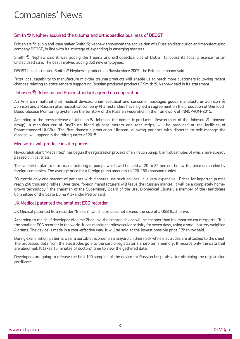### Companies' News

#### Smith & Nephew acquired the trauma and orthopaedics business of DEOST

British artificial hip and knee maker Smith  $\&$  Nephew announced the acquisition of a Russian distribution and manufacturing company DEOST, in line with its strategy of expanding in emerging markets.

Smith & Nephew said it was adding the trauma and orthopaedics unit of DEOST to boost its local presence for an undisclosed sum. The deal involved adding 350 new employees.

DEOST has distributed Smith & Nephew's products in Russia since 2009, the British company said.

"(Its) local capability to manufacture mid-tier trauma products will enable us to reach more customers following recent changes relating to state tenders supporting Russian produced products," Smith & Nephew said in its statement.

#### Johnson & Johnson and Pharmstandard agreed on cooperation

An American multinational medical devices, pharmaceutical and consumer packaged goods manufacturer Johnson & Johnson and a Russian pharmaceutical company Pharmstandard have signed an agreement on the production of OneTouch Blood Glucose Monitoring System on the territory of the Russian Federation in the framework of INNOPROM-2015.

According to the press release of Johnson & Johnson, the domestic products Lifescan (part of the Johnson & Johnson group), a manufacturer of OneTouch blood glucose meters and test strips, will be produced at the facilities of Pharmstandard-UfaVita. The first domestic production Lifescan, allowing patients with diabetes to self-manage the disease, will appear in the third quarter of 2015.

#### Medsintez will produce insulin pumps

Novouralsk plant "Medsintez" has begun the registration process of an insulin pump, the first samples of which have already passed clinical trials.

The scientists plan to start manufacturing of pumps which will be sold at 20 to 25 percent below the price demanded by foreign companies. The average price for a foreign pump amounts to 120-160 thousand rubles.

"Currently only one percent of patients with diabetes use such devices. It is very expensive. Prices for imported pumps reach 250 thousand rubles. Over time, foreign manufacturers will leave the Russian market. It will be a completely homegrown technology," the chairman of the Supervisory Board of the Ural Biomedical Cluster, a member of the Healthcare Committee of the State Duma Alexander Petrov said.

#### JK Medical patented the smallest ECG recorder

JK Medical patented ECG recorder "Elskan", which size does not exceed the size of a USB flash drive.

According to the chief developer Vladimir Zhankov, the created device will be cheaper than its imported counterparts. "It is the smallest ECG recorder in the world. It can monitor cardiovascular activity for seven days, using a small battery weighing 4 grams. The device is made in a cost-effective way. It will be sold at the lowest possible price," Zhankov said.

During examination, patients wear a portable recorder on a lanyard on their neck while electrodes are attached to the chest. The processed data from the electrodes go into the cardio registrator's short-term memory. It records only the data that are abnormal. It takes 15 minutes of doctors' time to view the gathered data.

Developers are going to release the first 100 samples of the device for Russian hospitals after obtaining the registration certificate.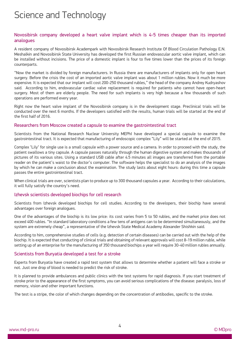### Science and Technology

#### Novosibirsk company developed a heart valve implant which is 4-5 times cheaper than its imported analogues

A resident company of Novosibirsk Academpark with Novosibirsk Research Institute Of Blood Circulation Pathology E.N. Meshalkin and Novosibirsk State University has developed the first Russian endovascular aortic valve implant, which can be installed without incisions. The price of a domestic implant is four to five times lower than the prices of its foreign counterparts.

"Now the market is divided by foreign manufacturers. In Russia there are manufacturers of implants only for open heart surgery. Before the crisis the cost of an imported aortic valve implant was about 1 million rubles. Now it much be more expensive. It is expected that our implant will cost 200-250 thousand rubles," the head of the company Andrey Kudryashov said. According to him, endovascular cardiac valve replacement is required for patients who cannot have open-heart surgery. Most of them are elderly people. The need for such implants is very high because a few thousands of such operations are performed every year.

Right now the heart valve implant of the Novosibirsk company is in the development stage. Preclinical trials will be conducted over the next 6 months. If the developers satisfied with the results, human trials will be started at the end of the first half of 2016.

#### Researchers from Moscow created a capsule to examine the gastrointestinal tract

Scientists from the National Research Nuclear University MEPhI have developed a special capsule to examine the gastrointestinal tract. It is expected that manufacturing of endoscopic complex "Lily" will be started at the end of 2015.

Complex "Lily" for single use is a small capsule with a power source and a camera. In order to proceed with the study, the patient swallows a tiny capsule. A capsule passes naturally through the human digestive system and makes thousands of pictures of its various sites. Using a standard USB cable after 4.5 minutes all images are transferred from the portable reader on the patient's waist to the doctor's computer. The software helps the specialist to do an analysis of the images by which he can make a conclusion about the examination. The study lasts about eight hours: during this time a capsule passes the entire gastrointestinal tract.

When clinical trials are over, scientists plan to produce up to 300 thousand capsules a year. According to their calculations, it will fully satisfy the country's need.

#### Izhevsk scientists developed biochips for cell research

Scientists from Izhevsk developed biochips for cell studies. According to the developers, their biochip have several advantages over foreign analogues.

One of the advantages of the biochip is its low price: its cost varies from 5 to 50 rubles, and the market price does not exceed 400 rubles. "In standard laboratory conditions a few tens of antigens can to be determined simultaneously, and the system are extremely cheap", a representative of the Izhevsk State Medical Academy Alexander Shishkin said.

According to him, comprehensive studies of cells (e.g. detection of certain diseases) can be carried out with the help of the biochip. It is expected that conducting of clinical trials and obtaining of relevant approvals will cost 8-19 million ruble, while setting up of an enterprise for the manufacturing of 350 thousand biochips a year will require 30-40 million rubles annually.

#### Scientists from Buryatia developed a test for a stroke

Experts from Buryatia have created a rapid test system that allows to determine whether a patient will face a stroke or not. Just one drop of blood is needed to predict the risk of stroke.

It is planned to provide ambulances and public clinics with the test systems for rapid diagnosis. If you start treatment of stroke prior to the appearance of the first symptoms, you can avoid serious complications of the disease: paralysis, loss of memory, vision and other important functions.

The test is a stripe, the color of which changes depending on the concentration of antibodies, specific to the stroke.

4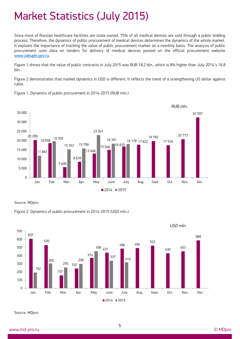## Market Statistics (July 2015)

Since most of Russian healthcare facilities are state owned, 75% of all medical devices are sold through a public bidding process. Therefore, the dynamics of public procurement of medical devices determines the dynamics of the whole market. It explains the importance of tracking the value of public procurement market on a monthly basis. The analysis of public procurement uses data on tenders for delivery of medical devices posted on the official procurement website [www.zakupki.gov.ru.](http://www.zakupki.gov.ru/)

Figure 1 shows that the value of public contracts in July 2015 was RUB 18.2 bln., which is 8% higher than July 2014's 16.8 bln.

Figure 2 demonstrates that market dynamics in USD is different. It reflects the trend of a strengthening US dollar against ruble.



Figure 1. Dynamics of public procurement in 2014-2015 (RUB mln.)

Source: MDpro





Source: MDpro